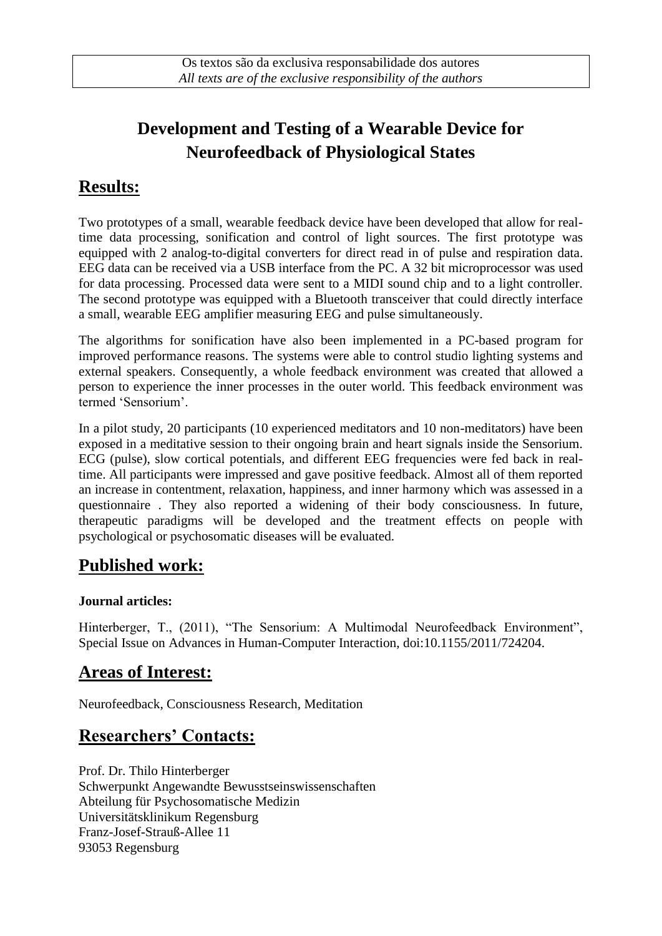# **Development and Testing of a Wearable Device for Neurofeedback of Physiological States**

### **Results:**

Two prototypes of a small, wearable feedback device have been developed that allow for realtime data processing, sonification and control of light sources. The first prototype was equipped with 2 analog-to-digital converters for direct read in of pulse and respiration data. EEG data can be received via a USB interface from the PC. A 32 bit microprocessor was used for data processing. Processed data were sent to a MIDI sound chip and to a light controller. The second prototype was equipped with a Bluetooth transceiver that could directly interface a small, wearable EEG amplifier measuring EEG and pulse simultaneously.

The algorithms for sonification have also been implemented in a PC-based program for improved performance reasons. The systems were able to control studio lighting systems and external speakers. Consequently, a whole feedback environment was created that allowed a person to experience the inner processes in the outer world. This feedback environment was termed "Sensorium".

In a pilot study, 20 participants (10 experienced meditators and 10 non-meditators) have been exposed in a meditative session to their ongoing brain and heart signals inside the Sensorium. ECG (pulse), slow cortical potentials, and different EEG frequencies were fed back in realtime. All participants were impressed and gave positive feedback. Almost all of them reported an increase in contentment, relaxation, happiness, and inner harmony which was assessed in a questionnaire . They also reported a widening of their body consciousness. In future, therapeutic paradigms will be developed and the treatment effects on people with psychological or psychosomatic diseases will be evaluated.

### **Published work:**

#### **Journal articles:**

Hinterberger, T., (2011), "The Sensorium: A Multimodal Neurofeedback Environment", Special Issue on Advances in Human-Computer Interaction, doi:10.1155/2011/724204.

# **Areas of Interest:**

Neurofeedback, Consciousness Research, Meditation

# **Researchers' Contacts:**

Prof. Dr. Thilo Hinterberger Schwerpunkt Angewandte Bewusstseinswissenschaften Abteilung für Psychosomatische Medizin Universitätsklinikum Regensburg Franz-Josef-Strauß-Allee 11 93053 Regensburg